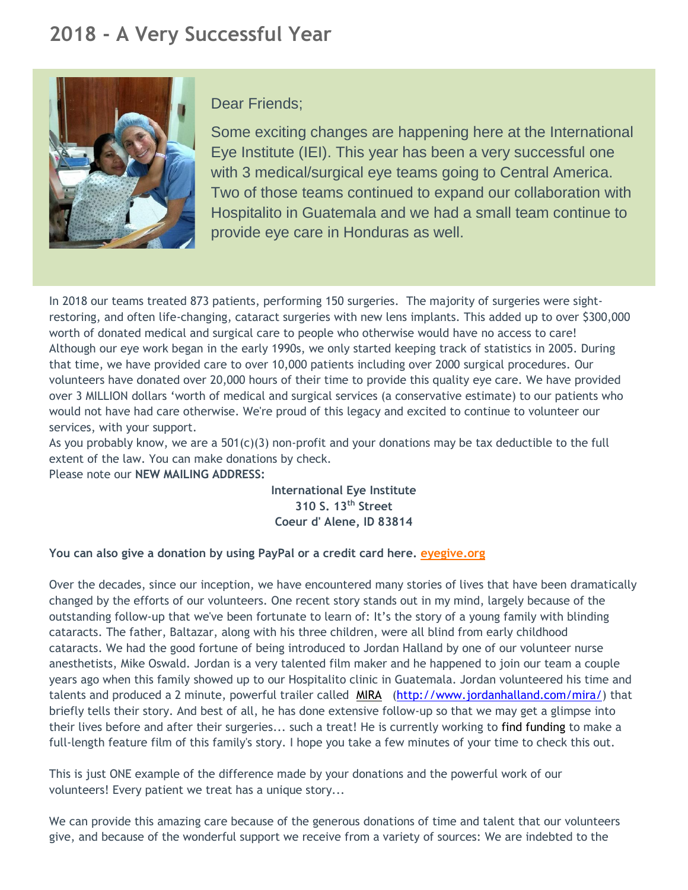# **2018 - A Very Successful Year**



## Dear Friends;

Some exciting changes are happening here at the International Eye Institute (IEI). This year has been a very successful one with 3 medical/surgical eye teams going to Central America. Two of those teams continued to expand our collaboration with Hospitalito in Guatemala and we had a small team continue to provide eye care in Honduras as well.

In 2018 our teams treated 873 patients, performing 150 surgeries. The majority of surgeries were sightrestoring, and often life-changing, cataract surgeries with new lens implants. This added up to over \$300,000 worth of donated medical and surgical care to people who otherwise would have no access to care! Although our eye work began in the early 1990s, we only started keeping track of statistics in 2005. During that time, we have provided care to over 10,000 patients including over 2000 surgical procedures. Our volunteers have donated over 20,000 hours of their time to provide this quality eye care. We have provided over 3 MILLION dollars 'worth of medical and surgical services (a conservative estimate) to our patients who would not have had care otherwise. We're proud of this legacy and excited to continue to volunteer our services, with your support.

As you probably know, we are a  $501(c)(3)$  non-profit and your donations may be tax deductible to the full extent of the law. You can make donations by check.

Please note our **NEW MAILING ADDRESS:** 

**International Eye Institute 310 S. 13th Street Coeur d' Alene, ID 83814**

### **You can also give a donation by using PayPal or a credit card here. [eyegive.org](http://www.eyegive.org/)**

Over the decades, since our inception, we have encountered many stories of lives that have been dramatically changed by the efforts of our volunteers. One recent story stands out in my mind, largely because of the outstanding follow-up that we've been fortunate to learn of: It's the story of a young family with blinding cataracts. The father, Baltazar, along with his three children, were all blind from early childhood cataracts. We had the good fortune of being introduced to Jordan Halland by one of our volunteer nurse anesthetists, Mike Oswald. Jordan is a very talented film maker and he happened to join our team a couple years ago when this family showed up to our Hospitalito clinic in Guatemala. Jordan volunteered his time and talents and produced a 2 minute, powerful trailer called MIRA [\(http://www.jordanhalland.com/mira/\)](http://www.jordanhalland.com/mira/) that briefly tells their story. And best of all, he has done extensive follow-up so that we may get a glimpse into their lives before and after their surgeries... such a treat! He is currently working to find funding to make a full-length feature film of this family's story. I hope you take a few minutes of your time to check this out.

This is just ONE example of the difference made by your donations and the powerful work of our volunteers! Every patient we treat has a unique story...

We can provide this amazing care because of the generous donations of time and talent that our volunteers give, and because of the wonderful support we receive from a variety of sources: We are indebted to the